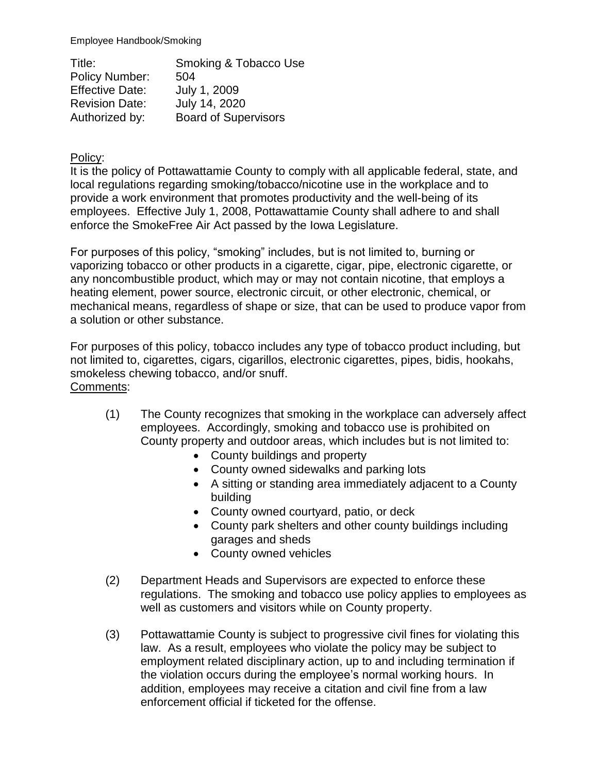Employee Handbook/Smoking

Title: Smoking & Tobacco Use Policy Number: 504 Effective Date: July 1, 2009 Revision Date: July 14, 2020 Authorized by: Board of Supervisors

Policy:

It is the policy of Pottawattamie County to comply with all applicable federal, state, and local regulations regarding smoking/tobacco/nicotine use in the workplace and to provide a work environment that promotes productivity and the well-being of its employees. Effective July 1, 2008, Pottawattamie County shall adhere to and shall enforce the SmokeFree Air Act passed by the Iowa Legislature.

For purposes of this policy, "smoking" includes, but is not limited to, burning or vaporizing tobacco or other products in a cigarette, cigar, pipe, electronic cigarette, or any noncombustible product, which may or may not contain nicotine, that employs a heating element, power source, electronic circuit, or other electronic, chemical, or mechanical means, regardless of shape or size, that can be used to produce vapor from a solution or other substance.

For purposes of this policy, tobacco includes any type of tobacco product including, but not limited to, cigarettes, cigars, cigarillos, electronic cigarettes, pipes, bidis, hookahs, smokeless chewing tobacco, and/or snuff. Comments:

- (1) The County recognizes that smoking in the workplace can adversely affect employees. Accordingly, smoking and tobacco use is prohibited on County property and outdoor areas, which includes but is not limited to:
	- County buildings and property
	- County owned sidewalks and parking lots
	- A sitting or standing area immediately adjacent to a County building
	- County owned courtyard, patio, or deck
	- County park shelters and other county buildings including garages and sheds
	- County owned vehicles
- (2) Department Heads and Supervisors are expected to enforce these regulations. The smoking and tobacco use policy applies to employees as well as customers and visitors while on County property.
- (3) Pottawattamie County is subject to progressive civil fines for violating this law. As a result, employees who violate the policy may be subject to employment related disciplinary action, up to and including termination if the violation occurs during the employee's normal working hours. In addition, employees may receive a citation and civil fine from a law enforcement official if ticketed for the offense.